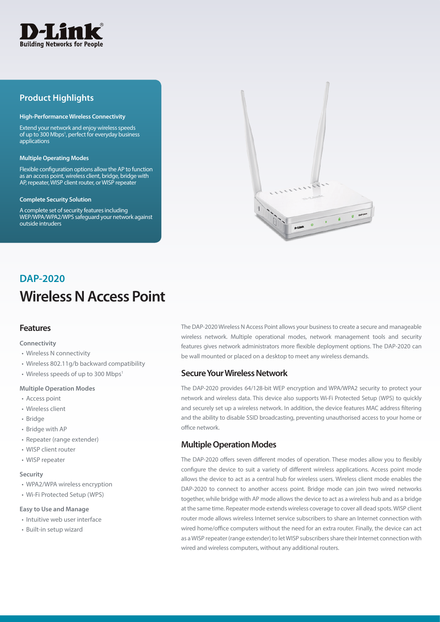

# **Product Highlights**

#### **High-Performance Wireless Connectivity**

Extend your network and enjoy wireless speeds of up to 300 Mbps<sup>1</sup>, perfect for everyday business applications

#### **Multiple Operating Modes**

Flexible configuration options allow the AP to function as an access point, wireless client, bridge, bridge with AP, repeater, WISP client router, or WISP repeater

#### **Complete Security Solution**

A complete set of security features including WEP/WPA/WPA2/WPS safeguard your network against outside intruders



# **Wireless N Access Point DAP-2020**

# **Features**

#### **Connectivity**

- Wireless N connectivity
- Wireless 802.11g/b backward compatibility
- Wireless speeds of up to 300 Mbps<sup>1</sup>

#### **Multiple Operation Modes**

- Access point
- Wireless client
- Bridge
- Bridge with AP
- Repeater (range extender)
- WISP client router
- WISP repeater

#### **Security**

- WPA2/WPA wireless encryption
- Wi-Fi Protected Setup (WPS)

#### **Easy to Use and Manage**

- Intuitive web user interface
- Built-in setup wizard

The DAP-2020 Wireless N Access Point allows your business to create a secure and manageable wireless network. Multiple operational modes, network management tools and security features gives network administrators more flexible deployment options. The DAP-2020 can be wall mounted or placed on a desktop to meet any wireless demands.

## **Secure Your Wireless Network**

The DAP-2020 provides 64/128-bit WEP encryption and WPA/WPA2 security to protect your network and wireless data. This device also supports Wi-Fi Protected Setup (WPS) to quickly and securely set up a wireless network. In addition, the device features MAC address filtering and the ability to disable SSID broadcasting, preventing unauthorised access to your home or office network.

# **Multiple Operation Modes**

The DAP-2020 offers seven different modes of operation. These modes allow you to flexibly configure the device to suit a variety of different wireless applications. Access point mode allows the device to act as a central hub for wireless users. Wireless client mode enables the DAP-2020 to connect to another access point. Bridge mode can join two wired networks together, while bridge with AP mode allows the device to act as a wireless hub and as a bridge at the same time. Repeater mode extends wireless coverage to cover all dead spots. WISP client router mode allows wireless Internet service subscribers to share an Internet connection with wired home/office computers without the need for an extra router. Finally, the device can act as a WISP repeater (range extender) to let WISP subscribers share their Internet connection with wired and wireless computers, without any additional routers.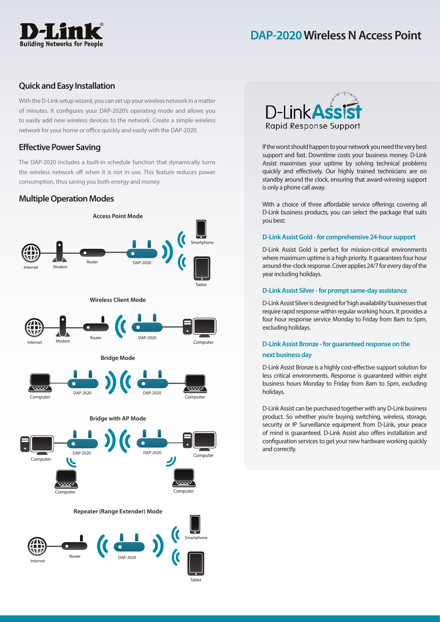# **Building Networks for People**

# **DAP-2020 Wireless N Access Point**

# **Quick and Easy Installation**

With the D-Link setup wizard, you can set up your wireless network in a matter of minutes. It configures your DAP-2020's operating mode and allows you to easily add new wireless devices to the network. Create a simple wireless network for your home or office quickly and easily with the DAP-2020.

# **Effective Power Saving**

The DAP-2020 includes a built-in schedule function that dynamically turns the wireless network off when it is not in use. This feature reduces power consumption, thus saving you both energy and money.

# **Multiple Operation Modes**





If the worst should happen to your network you need the very best support and fast. Downtime costs your business money. D-Link Assist maximises your uptime by solving technical problems quickly and effectively. Our highly trained technicians are on standby around the clock, ensuring that award-winning support is only a phone call away.

With a choice of three affordable service offerings covering all D-Link business products, you can select the package that suits you best:

### **D-Link Assist Gold - for comprehensive 24-hour support**

D-Link Assist Gold is perfect for mission-critical environments where maximum uptime is a high priority. It guarantees four hour around-the-clock response. Cover applies 24/7 for every day of the year including holidays.

## **D-Link Assist Silver - for prompt same-day assistance**

D-Link Assist Silver is designed for 'high availability' businesses that require rapid response within regular working hours. It provides a four hour response service Monday to Friday from 8am to 5pm, excluding holidays.

# **D-Link Assist Bronze - for guaranteed response on the next business day**

D-Link Assist Bronze is a highly cost-effective support solution for less critical environments. Response is guaranteed within eight business hours Monday to Friday from 8am to 5pm, excluding holidays.

D-Link Assist can be purchased together with any D-Link business product. So whether you're buying switching, wireless, storage, security or IP Surveillance equipment from D-Link, your peace of mind is guaranteed. D-Link Assist also offers installation and configuration services to get your new hardware working quickly and correctly.